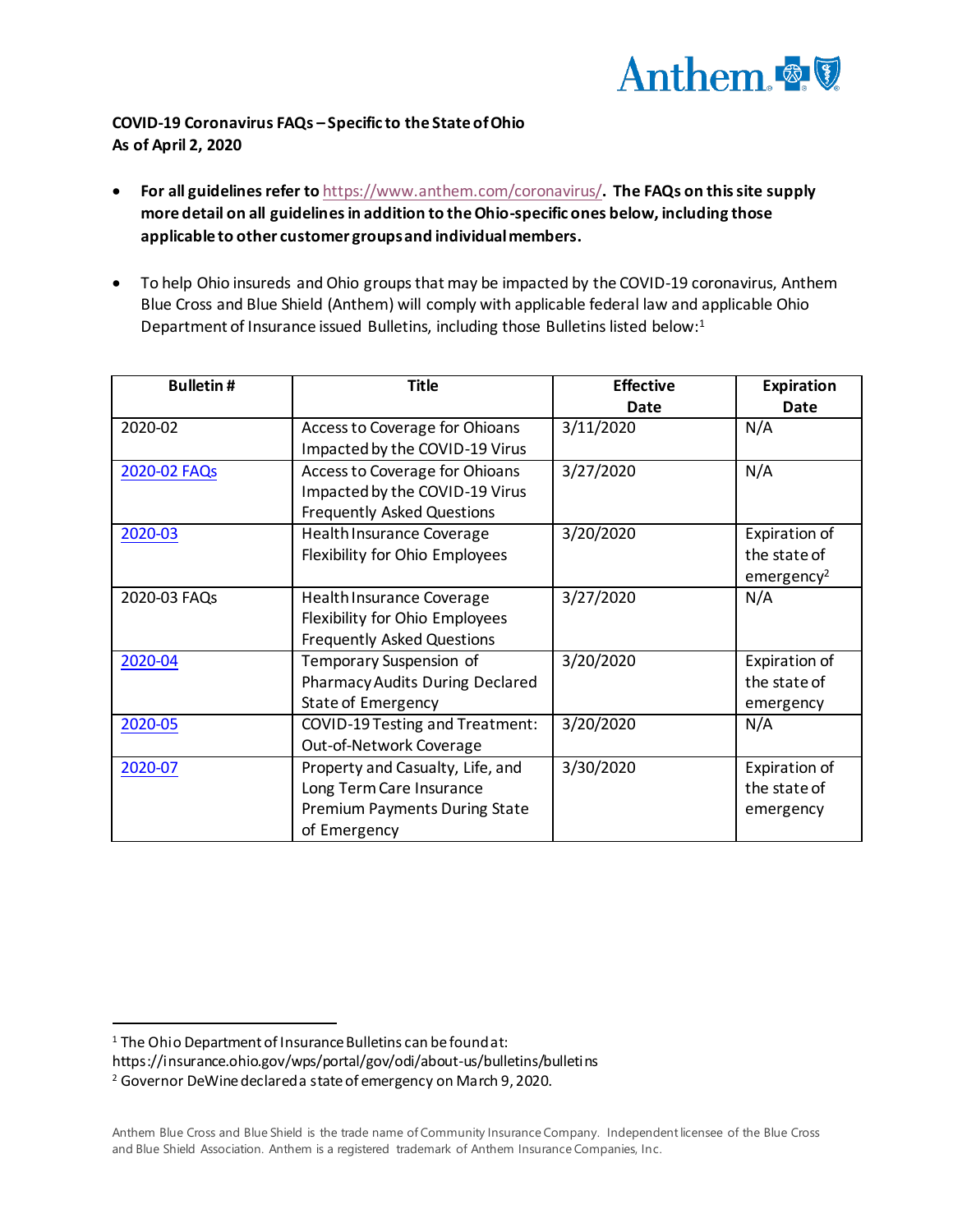

# **COVID-19 Coronavirus FAQs – Specific to the State of Ohio As of April 2, 2020**

- **•** For all guidelines refer to <https://www.anthem.com/coronavirus/>. The FAQs on this site supply more detail on all guidelines in addition to the Ohio-specific ones below, including those **applicable to other customer groups and individual members.**
- To help Ohio insureds and Ohio groups that may be impacted by the COVID-19 coronavirus, Anthem Blue Cross and Blue Shield (Anthem) will comply with applicable federal law and applicable Ohio Department of Insurance issued Bulletins, including those Bulletins listed below: 1

| <b>Bulletin#</b> | <b>Title</b>                           | <b>Effective</b> | <b>Expiration</b>      |
|------------------|----------------------------------------|------------------|------------------------|
|                  |                                        | Date             | Date                   |
| 2020-02          | Access to Coverage for Ohioans         | 3/11/2020        | N/A                    |
|                  | Impacted by the COVID-19 Virus         |                  |                        |
| 2020-02 FAQs     | Access to Coverage for Ohioans         | 3/27/2020        | N/A                    |
|                  | Impacted by the COVID-19 Virus         |                  |                        |
|                  | <b>Frequently Asked Questions</b>      |                  |                        |
| 2020-03          | <b>Health Insurance Coverage</b>       | 3/20/2020        | Expiration of          |
|                  | Flexibility for Ohio Employees         |                  | the state of           |
|                  |                                        |                  | emergency <sup>2</sup> |
| 2020-03 FAQs     | <b>Health Insurance Coverage</b>       | 3/27/2020        | N/A                    |
|                  | Flexibility for Ohio Employees         |                  |                        |
|                  | <b>Frequently Asked Questions</b>      |                  |                        |
| 2020-04          | Temporary Suspension of                | 3/20/2020        | Expiration of          |
|                  | <b>Pharmacy Audits During Declared</b> |                  | the state of           |
|                  | <b>State of Emergency</b>              |                  | emergency              |
| 2020-05          | COVID-19 Testing and Treatment:        | 3/20/2020        | N/A                    |
|                  | Out-of-Network Coverage                |                  |                        |
| 2020-07          | Property and Casualty, Life, and       | 3/30/2020        | Expiration of          |
|                  | Long Term Care Insurance               |                  | the state of           |
|                  | <b>Premium Payments During State</b>   |                  | emergency              |
|                  | of Emergency                           |                  |                        |

l

<sup>&</sup>lt;sup>1</sup> The Ohio Department of Insurance Bulletins can be found at:

https://insurance.ohio.gov/wps/portal/gov/odi/about-us/bulletins/bulletins

<sup>2</sup> Governor DeWine declared a state of emergency on March 9, 2020.

Anthem Blue Cross and Blue Shield is the trade name of Community Insurance Company. Independent licensee of the Blue Cross and Blue Shield Association. Anthem is a registered trademark of Anthem Insurance Companies, Inc.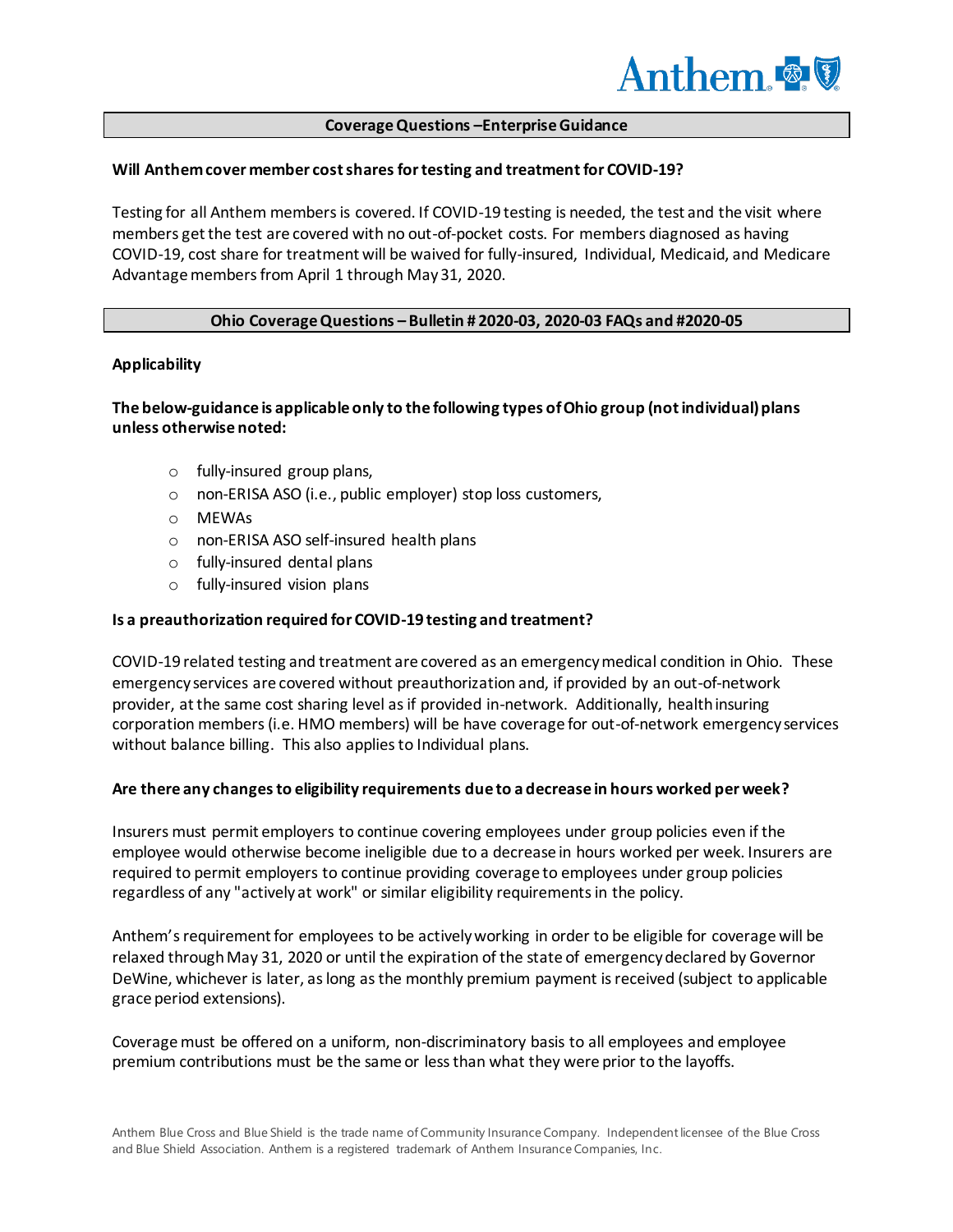

#### **Coverage Questions –Enterprise Guidance**

#### Will Anthem cover member cost shares for testing and treatment for COVID-19?

Testing for all Anthem members is covered. If COVID-19 testing is needed, the test and the visit where members get the test are covered with no out-of-pocket costs. For members diagnosed as having COVID-19, cost share for treatment will be waived for fully-insured, Individual, Medicaid, and Medicare Advantage members from April 1 through May 31, 2020.

## **Ohio Coverage Questions – Bulletin # 2020-03, 2020-03 FAQs and #2020-05**

#### **Applicability**

## **The below-guidance is applicable only to the following types of Ohio group (not individual) plans unless otherwise noted:**

- o fully-insured group plans,
- o non-ERISA ASO (i.e., public employer) stop loss customers,
- o MEWAs
- o non-ERISA ASO self-insured health plans
- o fully-insured dental plans
- o fully-insured vision plans

#### **Is a preauthorization required for COVID-19 testing and treatment?**

COVID-19 related testing and treatment are covered as an emergency medical condition in Ohio. These emergency services are covered without preauthorization and, if provided by an out-of-network provider, at the same cost sharing level as if provided in-network. Additionally, health insuring corporation members (i.e. HMO members) will be have coverage for out-of-network emergency services without balance billing. This also applies to Individual plans.

#### **Are there any changes to eligibility requirements due to a decrease in hours worked per week?**

Insurers must permit employers to continue covering employees under group policies even if the employee would otherwise become ineligible due to a decrease in hours worked per week. Insurers are required to permit employers to continue providing coverage to employees under group policies regardless of any "actively at work" or similar eligibility requirements in the policy.

Anthem's requirement for employees to be actively working in order to be eligible for coverage will be relaxed through May 31, 2020 or until the expiration of the state of emergency declared by Governor DeWine, whichever is later, as long as the monthly premium payment is received (subject to applicable grace period extensions).

Coverage must be offered on a uniform, non-discriminatory basis to all employees and employee premium contributions must be the same or less than what they were prior to the layoffs.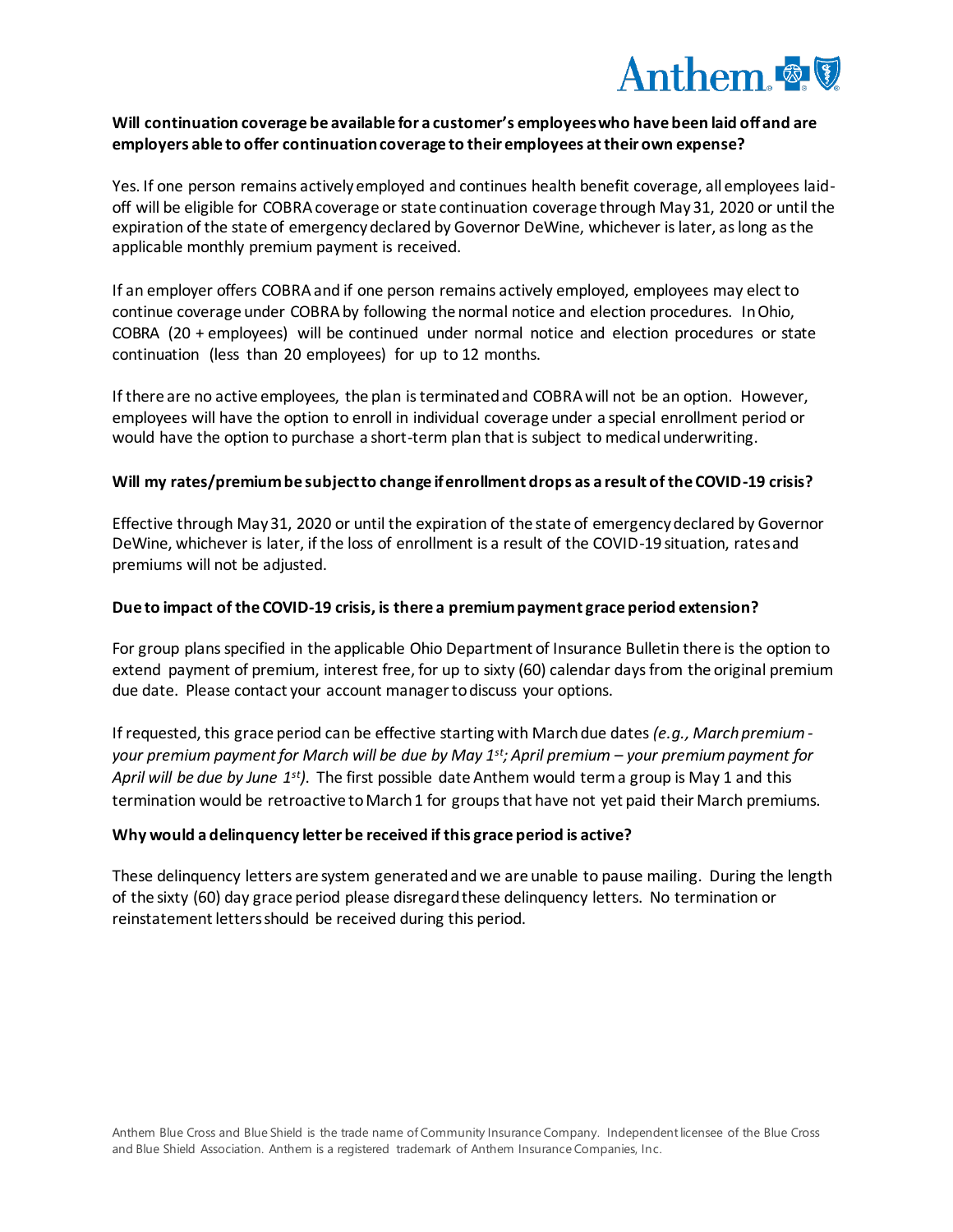

## **Will continuation coverage be available for a customer's employees who have been laid off and are employers able to offer continuation coverage to their employees at their own expense?**

Yes. If one person remains actively employed and continues health benefit coverage, all employees laidoff will be eligible for COBRA coverage or state continuation coverage through May 31, 2020 or until the expiration of the state of emergency declared by Governor DeWine, whichever is later, as long as the applicable monthly premium payment is received.

If an employer offers COBRA and if one person remains actively employed, employees may elect to continue coverage under COBRA by following the normal notice and election procedures. In Ohio, COBRA (20 + employees) will be continued under normal notice and election procedures or state continuation (less than 20 employees) for up to 12 months.

If there are no active employees, the plan is terminated and COBRA will not be an option. However, employees will have the option to enroll in individual coverage under a special enrollment period or would have the option to purchase a short-term plan that is subject to medical underwriting.

#### **Will my rates/premium be subject to change if enrollment drops as a result of the COVID-19 crisis?**

Effective through May 31, 2020 or until the expiration of the state of emergency declared by Governor DeWine, whichever is later, if the loss of enrollment is a result of the COVID-19 situation, rates and premiums will not be adjusted.

#### **Due to impact of the COVID-19 crisis, is there a premium payment grace period extension?**

For group plans specified in the applicable Ohio Department of Insurance Bulletin there is the option to extend payment of premium, interest free, for up to sixty (60) calendar days from the original premium due date. Please contact your account manager to discuss your options.

If requested, this grace period can be effective starting with March due dates *(e.g., March premium your premium payment for March will be due by May 1st; April premium – your premium payment for April will be due by June 1st)*. The first possible date Anthem would term a group is May 1 and this termination would be retroactive to March 1 for groups that have not yet paid their March premiums.

## **Why would a delinquency letter be received if this grace period is active?**

These delinquency letters are system generated and we are unable to pause mailing. During the length of the sixty (60) day grace period please disregard these delinquency letters. No termination or reinstatement letters should be received during this period.